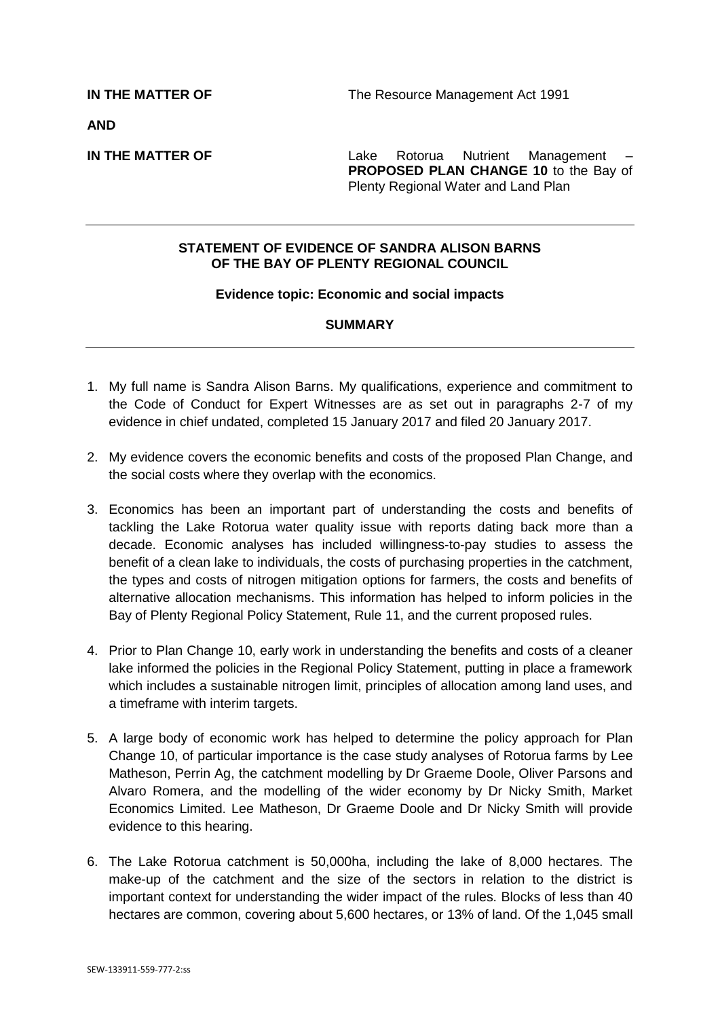**AND**

**IN THE MATTER OF THE SERVICE 2018** Lake Rotorua Nutrient Management **PROPOSED PLAN CHANGE 10** to the Bay of Plenty Regional Water and Land Plan

## **STATEMENT OF EVIDENCE OF SANDRA ALISON BARNS OF THE BAY OF PLENTY REGIONAL COUNCIL**

#### **Evidence topic: Economic and social impacts**

## **SUMMARY**

- 1. My full name is Sandra Alison Barns. My qualifications, experience and commitment to the Code of Conduct for Expert Witnesses are as set out in paragraphs 2-7 of my evidence in chief undated, completed 15 January 2017 and filed 20 January 2017.
- 2. My evidence covers the economic benefits and costs of the proposed Plan Change, and the social costs where they overlap with the economics.
- 3. Economics has been an important part of understanding the costs and benefits of tackling the Lake Rotorua water quality issue with reports dating back more than a decade. Economic analyses has included willingness-to-pay studies to assess the benefit of a clean lake to individuals, the costs of purchasing properties in the catchment, the types and costs of nitrogen mitigation options for farmers, the costs and benefits of alternative allocation mechanisms. This information has helped to inform policies in the Bay of Plenty Regional Policy Statement, Rule 11, and the current proposed rules.
- 4. Prior to Plan Change 10, early work in understanding the benefits and costs of a cleaner lake informed the policies in the Regional Policy Statement, putting in place a framework which includes a sustainable nitrogen limit, principles of allocation among land uses, and a timeframe with interim targets.
- 5. A large body of economic work has helped to determine the policy approach for Plan Change 10, of particular importance is the case study analyses of Rotorua farms by Lee Matheson, Perrin Ag, the catchment modelling by Dr Graeme Doole, Oliver Parsons and Alvaro Romera, and the modelling of the wider economy by Dr Nicky Smith, Market Economics Limited. Lee Matheson, Dr Graeme Doole and Dr Nicky Smith will provide evidence to this hearing.
- 6. The Lake Rotorua catchment is 50,000ha, including the lake of 8,000 hectares. The make-up of the catchment and the size of the sectors in relation to the district is important context for understanding the wider impact of the rules. Blocks of less than 40 hectares are common, covering about 5,600 hectares, or 13% of land. Of the 1,045 small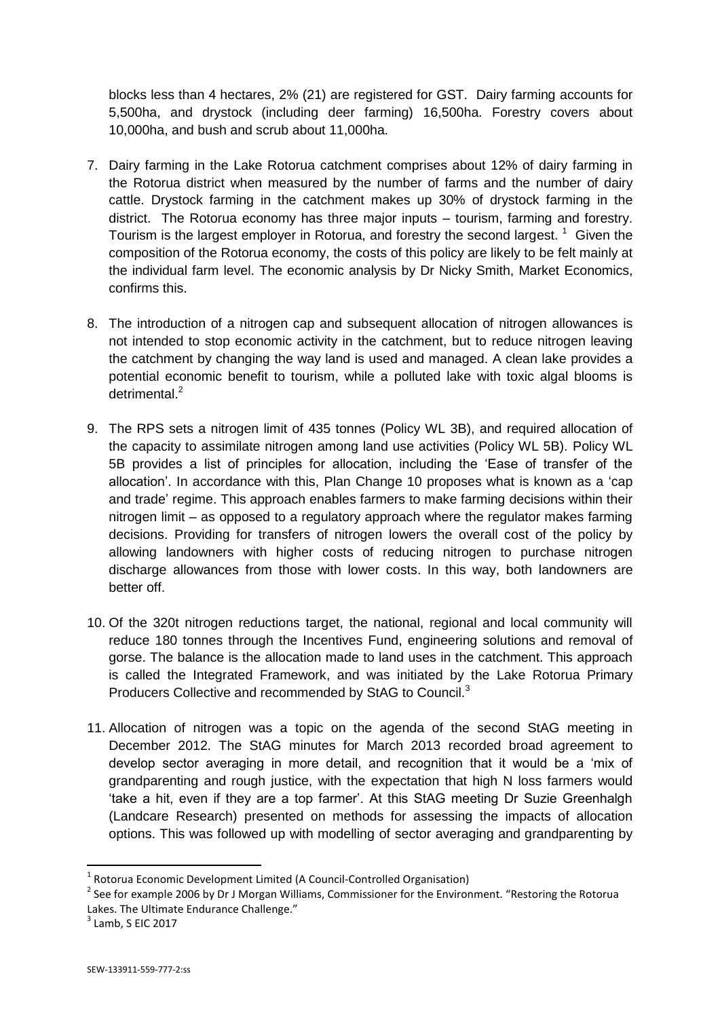blocks less than 4 hectares, 2% (21) are registered for GST. Dairy farming accounts for 5,500ha, and drystock (including deer farming) 16,500ha. Forestry covers about 10,000ha, and bush and scrub about 11,000ha.

- 7. Dairy farming in the Lake Rotorua catchment comprises about 12% of dairy farming in the Rotorua district when measured by the number of farms and the number of dairy cattle. Drystock farming in the catchment makes up 30% of drystock farming in the district. The Rotorua economy has three major inputs – tourism, farming and forestry. Tourism is the largest employer in Rotorua, and forestry the second largest.  $1$  Given the composition of the Rotorua economy, the costs of this policy are likely to be felt mainly at the individual farm level. The economic analysis by Dr Nicky Smith, Market Economics, confirms this.
- 8. The introduction of a nitrogen cap and subsequent allocation of nitrogen allowances is not intended to stop economic activity in the catchment, but to reduce nitrogen leaving the catchment by changing the way land is used and managed. A clean lake provides a potential economic benefit to tourism, while a polluted lake with toxic algal blooms is detrimental.<sup>2</sup>
- 9. The RPS sets a nitrogen limit of 435 tonnes (Policy WL 3B), and required allocation of the capacity to assimilate nitrogen among land use activities (Policy WL 5B). Policy WL 5B provides a list of principles for allocation, including the 'Ease of transfer of the allocation'. In accordance with this, Plan Change 10 proposes what is known as a 'cap and trade' regime. This approach enables farmers to make farming decisions within their nitrogen limit – as opposed to a regulatory approach where the regulator makes farming decisions. Providing for transfers of nitrogen lowers the overall cost of the policy by allowing landowners with higher costs of reducing nitrogen to purchase nitrogen discharge allowances from those with lower costs. In this way, both landowners are better off.
- 10. Of the 320t nitrogen reductions target, the national, regional and local community will reduce 180 tonnes through the Incentives Fund, engineering solutions and removal of gorse. The balance is the allocation made to land uses in the catchment. This approach is called the Integrated Framework, and was initiated by the Lake Rotorua Primary Producers Collective and recommended by StAG to Council.<sup>3</sup>
- 11. Allocation of nitrogen was a topic on the agenda of the second StAG meeting in December 2012. The StAG minutes for March 2013 recorded broad agreement to develop sector averaging in more detail, and recognition that it would be a 'mix of grandparenting and rough justice, with the expectation that high N loss farmers would 'take a hit, even if they are a top farmer'. At this StAG meeting Dr Suzie Greenhalgh (Landcare Research) presented on methods for assessing the impacts of allocation options. This was followed up with modelling of sector averaging and grandparenting by

**.** 

 $<sup>1</sup>$  Rotorua Economic Development Limited (A Council-Controlled Organisation)</sup>

<sup>&</sup>lt;sup>2</sup> See for example 2006 by Dr J Morgan Williams, Commissioner for the Environment. "Restoring the Rotorua Lakes. The Ultimate Endurance Challenge."

 $3$  Lamb, S EIC 2017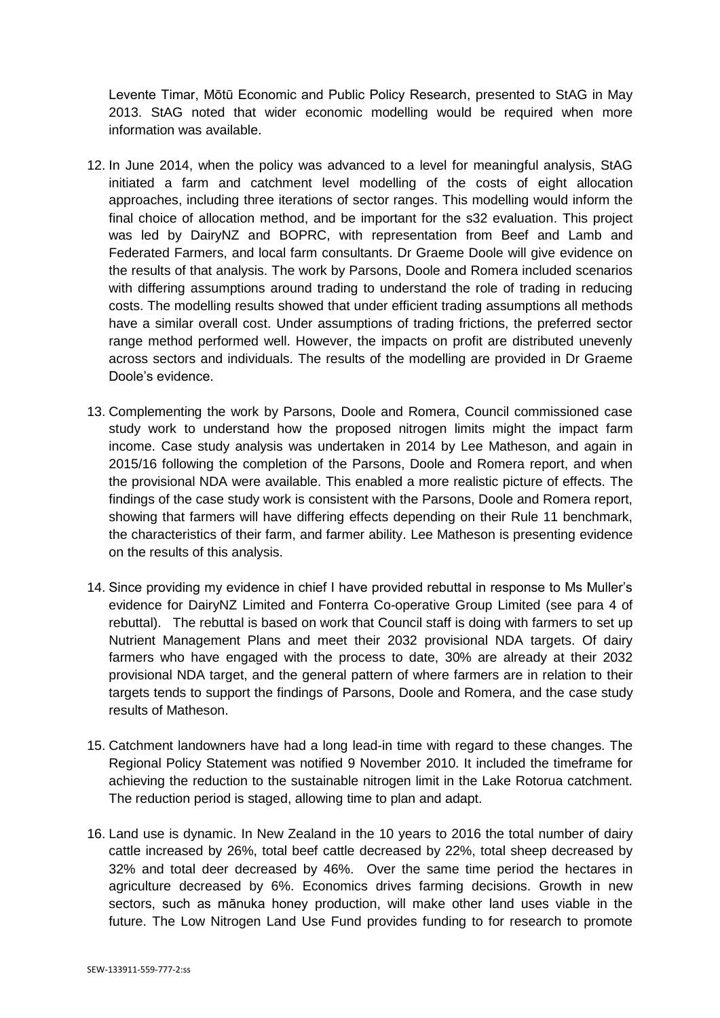Levente Timar, Mōtū Economic and Public Policy Research, presented to StAG in May 2013. StAG noted that wider economic modelling would be required when more information was available.

- 12. In June 2014, when the policy was advanced to a level for meaningful analysis, StAG initiated a farm and catchment level modelling of the costs of eight allocation approaches, including three iterations of sector ranges. This modelling would inform the final choice of allocation method, and be important for the s32 evaluation. This project was led by DairyNZ and BOPRC, with representation from Beef and Lamb and Federated Farmers, and local farm consultants. Dr Graeme Doole will give evidence on the results of that analysis. The work by Parsons, Doole and Romera included scenarios with differing assumptions around trading to understand the role of trading in reducing costs. The modelling results showed that under efficient trading assumptions all methods have a similar overall cost. Under assumptions of trading frictions, the preferred sector range method performed well. However, the impacts on profit are distributed unevenly across sectors and individuals. The results of the modelling are provided in Dr Graeme Doole's evidence.
- 13. Complementing the work by Parsons, Doole and Romera, Council commissioned case study work to understand how the proposed nitrogen limits might the impact farm income. Case study analysis was undertaken in 2014 by Lee Matheson, and again in 2015/16 following the completion of the Parsons, Doole and Romera report, and when the provisional NDA were available. This enabled a more realistic picture of effects. The findings of the case study work is consistent with the Parsons, Doole and Romera report, showing that farmers will have differing effects depending on their Rule 11 benchmark, the characteristics of their farm, and farmer ability. Lee Matheson is presenting evidence on the results of this analysis.
- 14. Since providing my evidence in chief I have provided rebuttal in response to Ms Muller's evidence for DairyNZ Limited and Fonterra Co-operative Group Limited (see para 4 of rebuttal). The rebuttal is based on work that Council staff is doing with farmers to set up Nutrient Management Plans and meet their 2032 provisional NDA targets. Of dairy farmers who have engaged with the process to date, 30% are already at their 2032 provisional NDA target, and the general pattern of where farmers are in relation to their targets tends to support the findings of Parsons, Doole and Romera, and the case study results of Matheson.
- 15. Catchment landowners have had a long lead-in time with regard to these changes. The Regional Policy Statement was notified 9 November 2010. It included the timeframe for achieving the reduction to the sustainable nitrogen limit in the Lake Rotorua catchment. The reduction period is staged, allowing time to plan and adapt.
- 16. Land use is dynamic. In New Zealand in the 10 years to 2016 the total number of dairy cattle increased by 26%, total beef cattle decreased by 22%, total sheep decreased by 32% and total deer decreased by 46%. Over the same time period the hectares in agriculture decreased by 6%. Economics drives farming decisions. Growth in new sectors, such as mānuka honey production, will make other land uses viable in the future. The Low Nitrogen Land Use Fund provides funding to for research to promote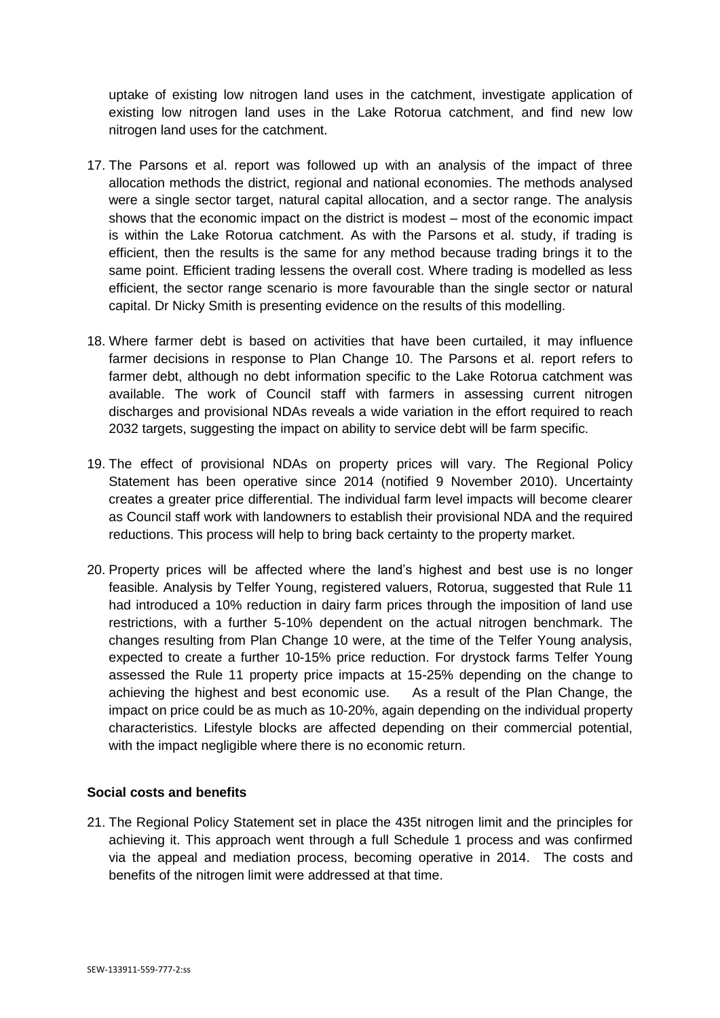uptake of existing low nitrogen land uses in the catchment, investigate application of existing low nitrogen land uses in the Lake Rotorua catchment, and find new low nitrogen land uses for the catchment.

- 17. The Parsons et al. report was followed up with an analysis of the impact of three allocation methods the district, regional and national economies. The methods analysed were a single sector target, natural capital allocation, and a sector range. The analysis shows that the economic impact on the district is modest – most of the economic impact is within the Lake Rotorua catchment. As with the Parsons et al. study, if trading is efficient, then the results is the same for any method because trading brings it to the same point. Efficient trading lessens the overall cost. Where trading is modelled as less efficient, the sector range scenario is more favourable than the single sector or natural capital. Dr Nicky Smith is presenting evidence on the results of this modelling.
- 18. Where farmer debt is based on activities that have been curtailed, it may influence farmer decisions in response to Plan Change 10. The Parsons et al. report refers to farmer debt, although no debt information specific to the Lake Rotorua catchment was available. The work of Council staff with farmers in assessing current nitrogen discharges and provisional NDAs reveals a wide variation in the effort required to reach 2032 targets, suggesting the impact on ability to service debt will be farm specific.
- 19. The effect of provisional NDAs on property prices will vary. The Regional Policy Statement has been operative since 2014 (notified 9 November 2010). Uncertainty creates a greater price differential. The individual farm level impacts will become clearer as Council staff work with landowners to establish their provisional NDA and the required reductions. This process will help to bring back certainty to the property market.
- 20. Property prices will be affected where the land's highest and best use is no longer feasible. Analysis by Telfer Young, registered valuers, Rotorua, suggested that Rule 11 had introduced a 10% reduction in dairy farm prices through the imposition of land use restrictions, with a further 5-10% dependent on the actual nitrogen benchmark. The changes resulting from Plan Change 10 were, at the time of the Telfer Young analysis, expected to create a further 10-15% price reduction. For drystock farms Telfer Young assessed the Rule 11 property price impacts at 15-25% depending on the change to achieving the highest and best economic use. As a result of the Plan Change, the impact on price could be as much as 10-20%, again depending on the individual property characteristics. Lifestyle blocks are affected depending on their commercial potential, with the impact negligible where there is no economic return.

# **Social costs and benefits**

21. The Regional Policy Statement set in place the 435t nitrogen limit and the principles for achieving it. This approach went through a full Schedule 1 process and was confirmed via the appeal and mediation process, becoming operative in 2014. The costs and benefits of the nitrogen limit were addressed at that time.